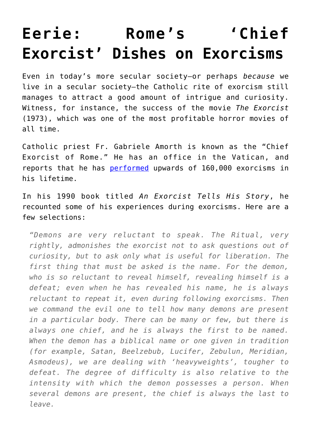## **[Eerie: Rome's 'Chief](https://intellectualtakeout.org/2016/07/eerie-romes-chief-exorcist-dishes-on-exorcisms/) [Exorcist' Dishes on Exorcisms](https://intellectualtakeout.org/2016/07/eerie-romes-chief-exorcist-dishes-on-exorcisms/)**

Even in today's more secular society—or perhaps *because* we live in a secular society—the Catholic rite of exorcism still manages to attract a good amount of intrigue and curiosity. Witness, for instance, the success of the movie *The Exorcist* (1973), which was one of the most profitable horror movies of all time.

Catholic priest Fr. Gabriele Amorth is known as the "Chief Exorcist of Rome." He has an office in the Vatican, and reports that he has [performed](http://www.thesundaytimes.co.uk/sto/news/world_news/Europe/article1264855.ece) upwards of 160,000 exorcisms in his lifetime.

In his 1990 book titled *An Exorcist Tells His Story*, he recounted some of his experiences during exorcisms. Here are a few selections:

*"Demons are very reluctant to speak. The Ritual, very rightly, admonishes the exorcist not to ask questions out of curiosity, but to ask only what is useful for liberation. The first thing that must be asked is the name. For the demon, who is so reluctant to reveal himself, revealing himself is a defeat; even when he has revealed his name, he is always reluctant to repeat it, even during following exorcisms. Then we command the evil one to tell how many demons are present in a particular body. There can be many or few, but there is always one chief, and he is always the first to be named. When the demon has a biblical name or one given in tradition (for example, Satan, Beelzebub, Lucifer, Zebulun, Meridian, Asmodeus), we are dealing with 'heavyweights', tougher to defeat. The degree of difficulty is also relative to the intensity with which the demon possesses a person. When several demons are present, the chief is always the last to leave.*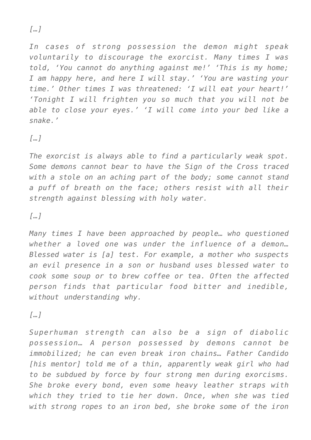*[…]*

*In cases of strong possession the demon might speak voluntarily to discourage the exorcist. Many times I was told, 'You cannot do anything against me!' 'This is my home; I am happy here, and here I will stay.' 'You are wasting your time.' Other times I was threatened: 'I will eat your heart!' 'Tonight I will frighten you so much that you will not be able to close your eyes.' 'I will come into your bed like a snake.'*

*[…]*

*The exorcist is always able to find a particularly weak spot. Some demons cannot bear to have the Sign of the Cross traced with a stole on an aching part of the body; some cannot stand a puff of breath on the face; others resist with all their strength against blessing with holy water.*

*[…]*

*Many times I have been approached by people… who questioned whether a loved one was under the influence of a demon… Blessed water is [a] test. For example, a mother who suspects an evil presence in a son or husband uses blessed water to cook some soup or to brew coffee or tea. Often the affected person finds that particular food bitter and inedible, without understanding why.*

*[…]*

*Superhuman strength can also be a sign of diabolic possession… A person possessed by demons cannot be immobilized; he can even break iron chains… Father Candido [his mentor] told me of a thin, apparently weak girl who had to be subdued by force by four strong men during exorcisms. She broke every bond, even some heavy leather straps with which they tried to tie her down. Once, when she was tied with strong ropes to an iron bed, she broke some of the iron*